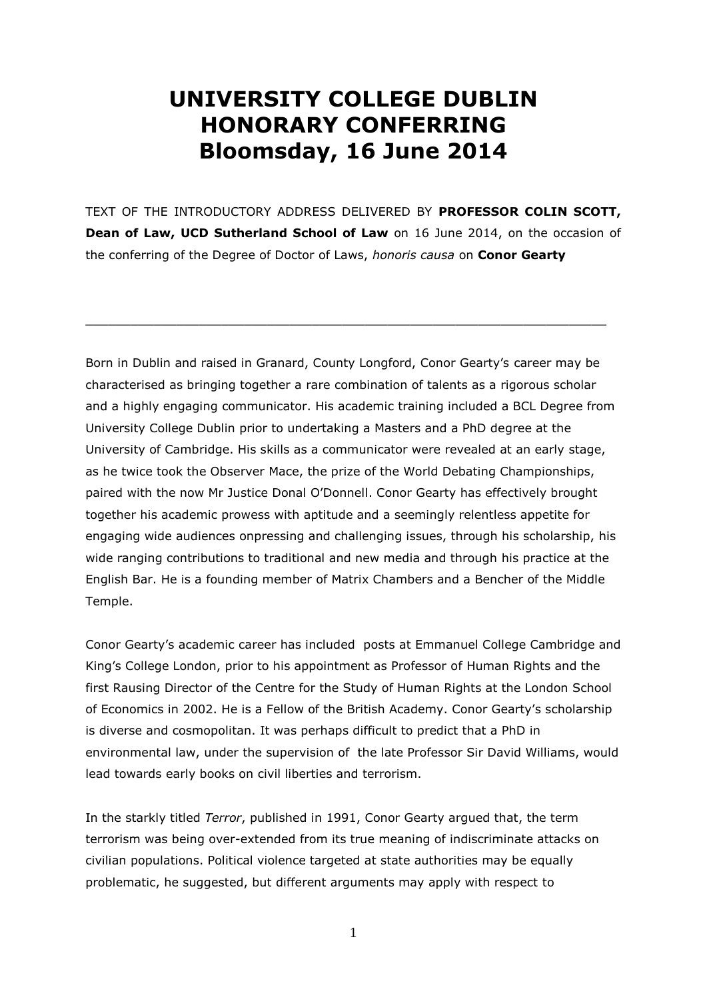## **UNIVERSITY COLLEGE DUBLIN HONORARY CONFERRING Bloomsday, 16 June 2014**

TEXT OF THE INTRODUCTORY ADDRESS DELIVERED BY **PROFESSOR COLIN SCOTT, Dean of Law, UCD Sutherland School of Law** on 16 June 2014, on the occasion of the conferring of the Degree of Doctor of Laws, *honoris causa* on **Conor Gearty**

 $\_$  , and the set of the set of the set of the set of the set of the set of the set of the set of the set of the set of the set of the set of the set of the set of the set of the set of the set of the set of the set of th

Born in Dublin and raised in Granard, County Longford, Conor Gearty's career may be characterised as bringing together a rare combination of talents as a rigorous scholar and a highly engaging communicator. His academic training included a BCL Degree from University College Dublin prior to undertaking a Masters and a PhD degree at the University of Cambridge. His skills as a communicator were revealed at an early stage, as he twice took the Observer Mace, the prize of the World Debating Championships, paired with the now Mr Justice Donal O'Donnell. Conor Gearty has effectively brought together his academic prowess with aptitude and a seemingly relentless appetite for engaging wide audiences onpressing and challenging issues, through his scholarship, his wide ranging contributions to traditional and new media and through his practice at the English Bar. He is a founding member of Matrix Chambers and a Bencher of the Middle Temple.

Conor Gearty's academic career has included posts at Emmanuel College Cambridge and King's College London, prior to his appointment as Professor of Human Rights and the first Rausing Director of the Centre for the Study of Human Rights at the London School of Economics in 2002. He is a Fellow of the British Academy. Conor Gearty's scholarship is diverse and cosmopolitan. It was perhaps difficult to predict that a PhD in environmental law, under the supervision of the late Professor Sir David Williams, would lead towards early books on civil liberties and terrorism.

In the starkly titled *Terror*, published in 1991, Conor Gearty argued that, the term terrorism was being over-extended from its true meaning of indiscriminate attacks on civilian populations. Political violence targeted at state authorities may be equally problematic, he suggested, but different arguments may apply with respect to

1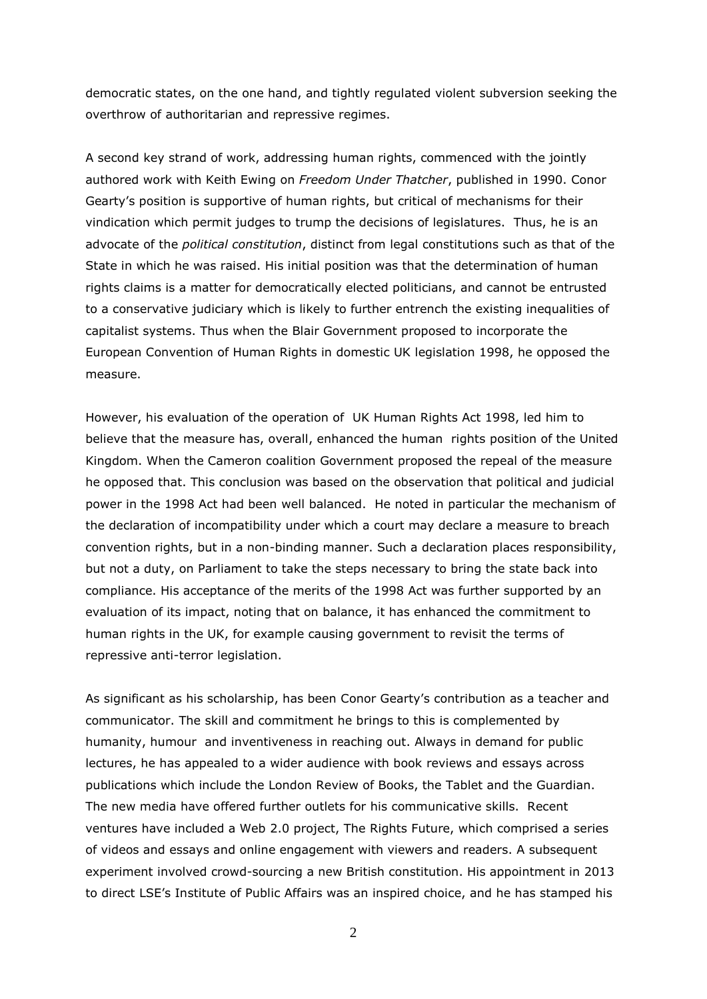democratic states, on the one hand, and tightly regulated violent subversion seeking the overthrow of authoritarian and repressive regimes.

A second key strand of work, addressing human rights, commenced with the jointly authored work with Keith Ewing on *Freedom Under Thatcher*, published in 1990. Conor Gearty's position is supportive of human rights, but critical of mechanisms for their vindication which permit judges to trump the decisions of legislatures. Thus, he is an advocate of the *political constitution*, distinct from legal constitutions such as that of the State in which he was raised. His initial position was that the determination of human rights claims is a matter for democratically elected politicians, and cannot be entrusted to a conservative judiciary which is likely to further entrench the existing inequalities of capitalist systems. Thus when the Blair Government proposed to incorporate the European Convention of Human Rights in domestic UK legislation 1998, he opposed the measure.

However, his evaluation of the operation of UK Human Rights Act 1998, led him to believe that the measure has, overall, enhanced the human rights position of the United Kingdom. When the Cameron coalition Government proposed the repeal of the measure he opposed that. This conclusion was based on the observation that political and judicial power in the 1998 Act had been well balanced. He noted in particular the mechanism of the declaration of incompatibility under which a court may declare a measure to breach convention rights, but in a non-binding manner. Such a declaration places responsibility, but not a duty, on Parliament to take the steps necessary to bring the state back into compliance. His acceptance of the merits of the 1998 Act was further supported by an evaluation of its impact, noting that on balance, it has enhanced the commitment to human rights in the UK, for example causing government to revisit the terms of repressive anti-terror legislation.

As significant as his scholarship, has been Conor Gearty's contribution as a teacher and communicator. The skill and commitment he brings to this is complemented by humanity, humour and inventiveness in reaching out. Always in demand for public lectures, he has appealed to a wider audience with book reviews and essays across publications which include the London Review of Books, the Tablet and the Guardian. The new media have offered further outlets for his communicative skills. Recent ventures have included a Web 2.0 project, The Rights Future, which comprised a series of videos and essays and online engagement with viewers and readers. A subsequent experiment involved crowd-sourcing a new British constitution. His appointment in 2013 to direct LSE's Institute of Public Affairs was an inspired choice, and he has stamped his

2